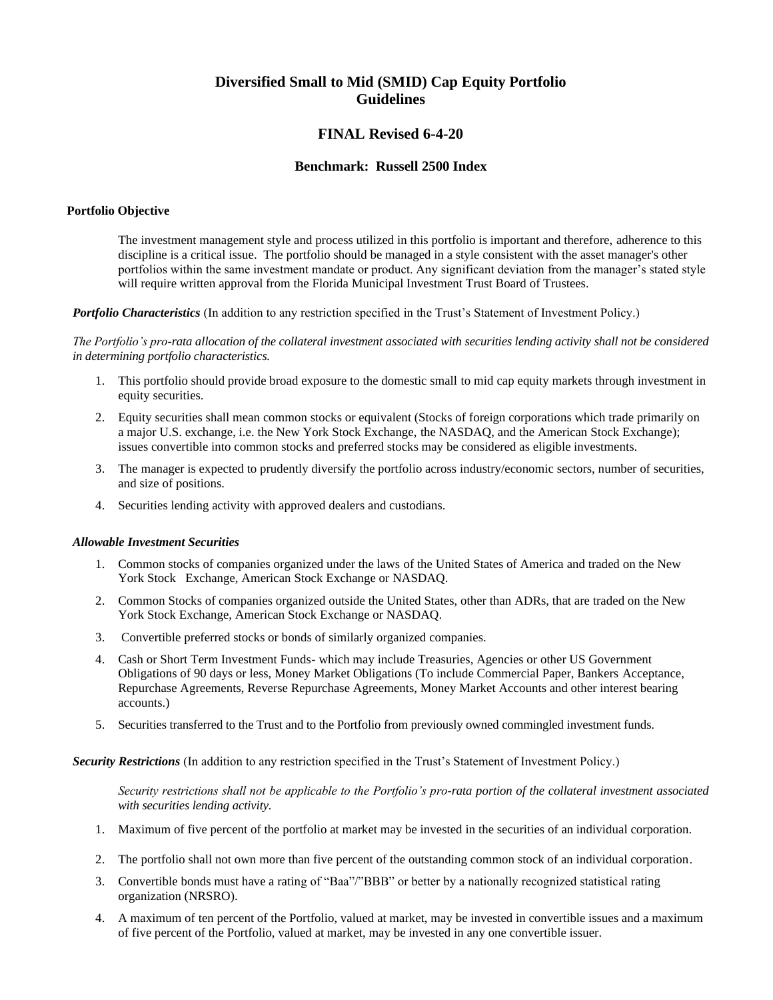# **Diversified Small to Mid (SMID) Cap Equity Portfolio Guidelines**

## **FINAL Revised 6-4-20**

### **Benchmark: Russell 2500 Index**

#### **Portfolio Objective**

The investment management style and process utilized in this portfolio is important and therefore, adherence to this discipline is a critical issue. The portfolio should be managed in a style consistent with the asset manager's other portfolios within the same investment mandate or product. Any significant deviation from the manager's stated style will require written approval from the Florida Municipal Investment Trust Board of Trustees.

*Portfolio Characteristics* (In addition to any restriction specified in the Trust's Statement of Investment Policy.)

*The Portfolio's pro-rata allocation of the collateral investment associated with securities lending activity shall not be considered in determining portfolio characteristics.*

- 1. This portfolio should provide broad exposure to the domestic small to mid cap equity markets through investment in equity securities.
- 2. Equity securities shall mean common stocks or equivalent (Stocks of foreign corporations which trade primarily on a major U.S. exchange, i.e. the New York Stock Exchange, the NASDAQ, and the American Stock Exchange); issues convertible into common stocks and preferred stocks may be considered as eligible investments.
- 3. The manager is expected to prudently diversify the portfolio across industry/economic sectors, number of securities, and size of positions.
- 4. Securities lending activity with approved dealers and custodians.

#### *Allowable Investment Securities*

- 1. Common stocks of companies organized under the laws of the United States of America and traded on the New York Stock Exchange, American Stock Exchange or NASDAQ.
- 2. Common Stocks of companies organized outside the United States, other than ADRs, that are traded on the New York Stock Exchange, American Stock Exchange or NASDAQ.
- 3. Convertible preferred stocks or bonds of similarly organized companies.
- 4. Cash or Short Term Investment Funds- which may include Treasuries, Agencies or other US Government Obligations of 90 days or less, Money Market Obligations (To include Commercial Paper, Bankers Acceptance, Repurchase Agreements, Reverse Repurchase Agreements, Money Market Accounts and other interest bearing accounts.)
- 5. Securities transferred to the Trust and to the Portfolio from previously owned commingled investment funds.

*Security Restrictions* (In addition to any restriction specified in the Trust's Statement of Investment Policy.)

*Security restrictions shall not be applicable to the Portfolio's pro-rata portion of the collateral investment associated with securities lending activity.*

- 1. Maximum of five percent of the portfolio at market may be invested in the securities of an individual corporation.
- 2. The portfolio shall not own more than five percent of the outstanding common stock of an individual corporation.
- 3. Convertible bonds must have a rating of "Baa"/"BBB" or better by a nationally recognized statistical rating organization (NRSRO).
- 4. A maximum of ten percent of the Portfolio, valued at market, may be invested in convertible issues and a maximum of five percent of the Portfolio, valued at market, may be invested in any one convertible issuer.